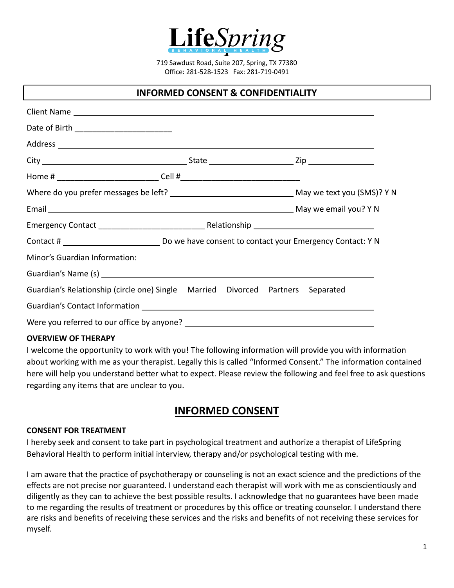

719 Sawdust Road, Suite 207, Spring, TX 77380 Office: 281-528-1523 Fax: 281-719-0491

# **INFORMED CONSENT & CONFIDENTIALITY**

| Date of Birth __________________________                                        |  |  |
|---------------------------------------------------------------------------------|--|--|
|                                                                                 |  |  |
|                                                                                 |  |  |
|                                                                                 |  |  |
|                                                                                 |  |  |
|                                                                                 |  |  |
|                                                                                 |  |  |
|                                                                                 |  |  |
| Minor's Guardian Information:                                                   |  |  |
|                                                                                 |  |  |
| Guardian's Relationship (circle one) Single Married Divorced Partners Separated |  |  |
|                                                                                 |  |  |
|                                                                                 |  |  |

#### **OVERVIEW OF THERAPY**

I welcome the opportunity to work with you! The following information will provide you with information about working with me as your therapist. Legally this is called "Informed Consent." The information contained here will help you understand better what to expect. Please review the following and feel free to ask questions regarding any items that are unclear to you.

# **INFORMED CONSENT**

#### **CONSENT FOR TREATMENT**

I hereby seek and consent to take part in psychological treatment and authorize a therapist of LifeSpring Behavioral Health to perform initial interview, therapy and/or psychological testing with me.

I am aware that the practice of psychotherapy or counseling is not an exact science and the predictions of the effects are not precise nor guaranteed. I understand each therapist will work with me as conscientiously and diligently as they can to achieve the best possible results. I acknowledge that no guarantees have been made to me regarding the results of treatment or procedures by this office or treating counselor. I understand there are risks and benefits of receiving these services and the risks and benefits of not receiving these services for myself.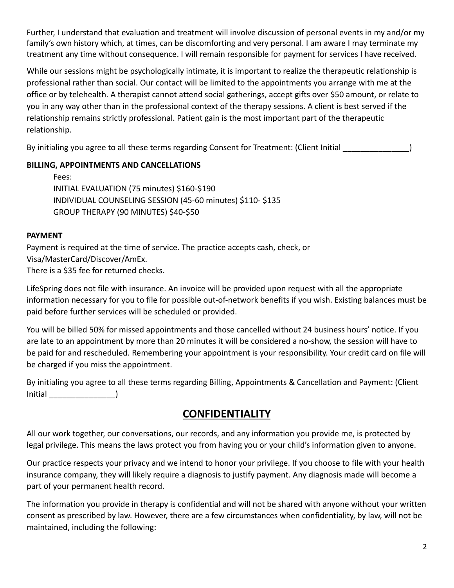Further, I understand that evaluation and treatment will involve discussion of personal events in my and/or my family's own history which, at times, can be discomforting and very personal. I am aware I may terminate my treatment any time without consequence. I will remain responsible for payment for services I have received.

While our sessions might be psychologically intimate, it is important to realize the therapeutic relationship is professional rather than social. Our contact will be limited to the appointments you arrange with me at the office or by telehealth. A therapist cannot attend social gatherings, accept gifts over \$50 amount, or relate to you in any way other than in the professional context of the therapy sessions. A client is best served if the relationship remains strictly professional. Patient gain is the most important part of the therapeutic relationship.

By initialing you agree to all these terms regarding Consent for Treatment: (Client Initial  $\qquad \qquad$ 

# **BILLING, APPOINTMENTS AND CANCELLATIONS**

| Fees:                                                     |
|-----------------------------------------------------------|
| INITIAL EVALUATION (75 minutes) \$160-\$190               |
| INDIVIDUAL COUNSELING SESSION (45-60 minutes) \$110-\$135 |
| GROUP THERAPY (90 MINUTES) \$40-\$50                      |

## **PAYMENT**

Payment is required at the time of service. The practice accepts cash, check, or Visa/MasterCard/Discover/AmEx. There is a \$35 fee for returned checks.

LifeSpring does not file with insurance. An invoice will be provided upon request with all the appropriate information necessary for you to file for possible out-of-network benefits if you wish. Existing balances must be paid before further services will be scheduled or provided.

You will be billed 50% for missed appointments and those cancelled without 24 business hours' notice. If you are late to an appointment by more than 20 minutes it will be considered a no-show, the session will have to be paid for and rescheduled. Remembering your appointment is your responsibility. Your credit card on file will be charged if you miss the appointment.

By initialing you agree to all these terms regarding Billing, Appointments & Cancellation and Payment: (Client Initial \_\_\_\_\_\_\_\_\_\_\_\_\_\_\_)

# **CONFIDENTIALITY**

All our work together, our conversations, our records, and any information you provide me, is protected by legal privilege. This means the laws protect you from having you or your child's information given to anyone.

Our practice respects your privacy and we intend to honor your privilege. If you choose to file with your health insurance company, they will likely require a diagnosis to justify payment. Any diagnosis made will become a part of your permanent health record.

The information you provide in therapy is confidential and will not be shared with anyone without your written consent as prescribed by law. However, there are a few circumstances when confidentiality, by law, will not be maintained, including the following: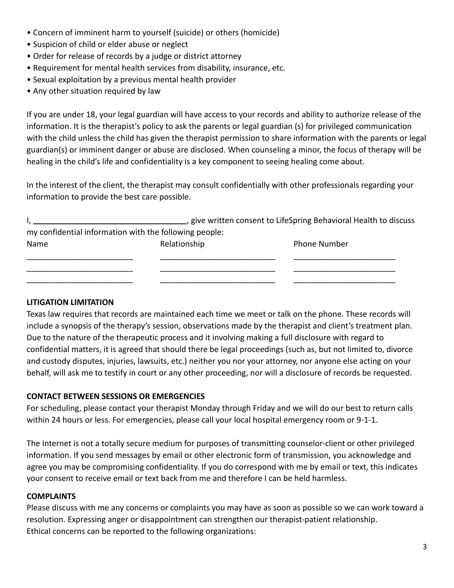- Concern of imminent harm to yourself (suicide) or others (homicide)
- Suspicion of child or elder abuse or neglect
- Order for release of records by a judge or district attorney
- Requirement for mental health services from disability, insurance, etc.
- Sexual exploitation by a previous mental health provider
- Any other situation required by law

If you are under 18, your legal guardian will have access to your records and ability to authorize release of the information. It is the therapist's policy to ask the parents or legal guardian (s) for privileged communication with the child unless the child has given the therapist permission to share information with the parents or legal guardian(s) or imminent danger or abuse are disclosed. When counseling a minor, the focus of therapy will be healing in the child's life and confidentiality is a key component to seeing healing come about.

In the interest of the client, the therapist may consult confidentially with other professionals regarding your information to provide the best care possible.

|                                                        |              | give written consent to LifeSpring Behavioral Health to discuss |
|--------------------------------------------------------|--------------|-----------------------------------------------------------------|
| my confidential information with the following people: |              |                                                                 |
| Name                                                   | Relationship | <b>Phone Number</b>                                             |

| . |  |
|---|--|
|   |  |
|   |  |
|   |  |
|   |  |
|   |  |

## **LITIGATION LIMITATION**

Texas law requires that records are maintained each time we meet or talk on the phone. These records will include a synopsis of the therapy's session, observations made by the therapist and client's treatment plan. Due to the nature of the therapeutic process and it involving making a full disclosure with regard to confidential matters, it is agreed that should there be legal proceedings (such as, but not limited to, divorce and custody disputes, injuries, lawsuits, etc.) neither you nor your attorney, nor anyone else acting on your behalf, will ask me to testify in court or any other proceeding, nor will a disclosure of records be requested.

## **CONTACT BETWEEN SESSIONS OR EMERGENCIES**

For scheduling, please contact your therapist Monday through Friday and we will do our best to return calls within 24 hours or less. For emergencies, please call your local hospital emergency room or 9-1-1.

The Internet is not a totally secure medium for purposes of transmitting counselor-client or other privileged information. If you send messages by email or other electronic form of transmission, you acknowledge and agree you may be compromising confidentiality. If you do correspond with me by email or text, this indicates your consent to receive email or text back from me and therefore I can be held harmless.

## **COMPLAINTS**

Please discuss with me any concerns or complaints you may have as soon as possible so we can work toward a resolution. Expressing anger or disappointment can strengthen our therapist-patient relationship. Ethical concerns can be reported to the following organizations: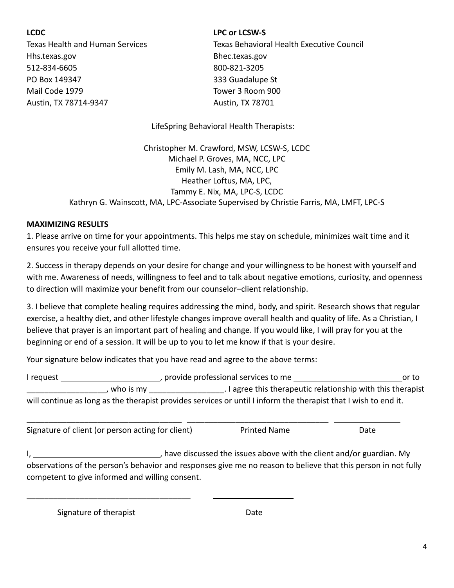Hhs.texas.gov Bhec.texas.gov 512-834-6605 800-821-3205 PO Box 149347 333 Guadalupe St Mail Code 1979 Tower 3 Room 900 Austin, TX 78714-9347 Austin, TX 78701

#### **LCDC LPC or LCSW-S**

Texas Health and Human Services Texas Behavioral Health Executive Council

LifeSpring Behavioral Health Therapists:

Christopher M. Crawford, MSW, LCSW-S, LCDC Michael P. Groves, MA, NCC, LPC Emily M. Lash, MA, NCC, LPC Heather Loftus, MA, LPC, Tammy E. Nix, MA, LPC-S, LCDC Kathryn G. Wainscott, MA, LPC-Associate Supervised by Christie Farris, MA, LMFT, LPC-S

#### **MAXIMIZING RESULTS**

1. Please arrive on time for your appointments. This helps me stay on schedule, minimizes wait time and it ensures you receive your full allotted time.

2. Success in therapy depends on your desire for change and your willingness to be honest with yourself and with me. Awareness of needs, willingness to feel and to talk about negative emotions, curiosity, and openness to direction will maximize your benefit from our counselor–client relationship.

3. I believe that complete healing requires addressing the mind, body, and spirit. Research shows that regular exercise, a healthy diet, and other lifestyle changes improve overall health and quality of life. As a Christian, I believe that prayer is an important part of healing and change. If you would like, I will pray for you at the beginning or end of a session. It will be up to you to let me know if that is your desire.

Your signature below indicates that you have read and agree to the above terms:

\_\_\_\_\_\_\_\_\_\_\_\_\_\_\_\_\_\_\_\_\_\_\_\_\_\_\_\_\_\_\_\_\_\_\_ \_\_\_\_\_\_\_\_\_\_\_\_\_\_\_\_\_\_\_\_\_\_\_\_\_\_\_\_\_\_\_\_

| I reguest |           | provide professional services to me                                                                             | or to |
|-----------|-----------|-----------------------------------------------------------------------------------------------------------------|-------|
|           | who is my | . I agree this therapeutic relationship with this therapist                                                     |       |
|           |           | will continue as long as the therapist provides services or until I inform the therapist that I wish to end it. |       |

Signature of client (or person acting for client) Printed Name Date

I, thave discussed the issues above with the client and/or guardian. My observations of the person's behavior and responses give me no reason to believe that this person in not fully competent to give informed and willing consent.

Signature of therapist **Date** Date

\_\_\_\_\_\_\_\_\_\_\_\_\_\_\_\_\_\_\_\_\_\_\_\_\_\_\_\_\_\_\_\_\_\_\_\_\_